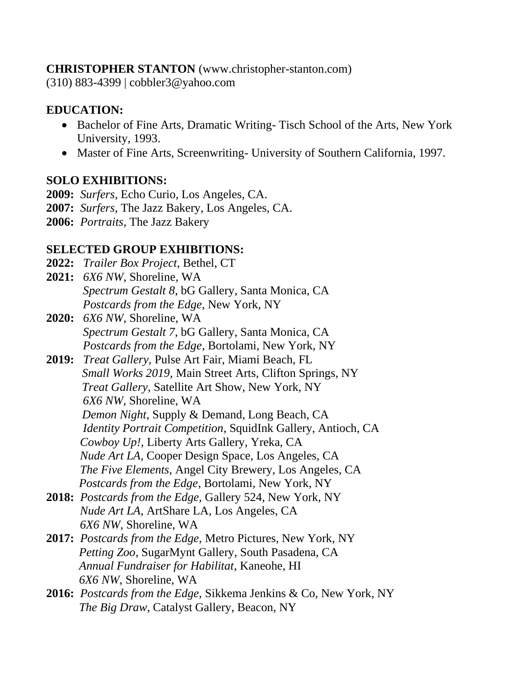#### **CHRISTOPHER STANTON** (www.christopher-stanton.com)

(310) 883-4399 | cobbler3@yahoo.com

### **EDUCATION:**

- Bachelor of Fine Arts, Dramatic Writing-Tisch School of the Arts, New York University, 1993.
- Master of Fine Arts, Screenwriting- University of Southern California, 1997.

# **SOLO EXHIBITIONS:**

- **2009:** *Surfers,* Echo Curio, Los Angeles, CA.
- **2007:** *Surfers*, The Jazz Bakery, Los Angeles, CA.
- **2006:** *Portraits,* The Jazz Bakery

# **SELECTED GROUP EXHIBITIONS:**

- **2022:** *Trailer Box Project,* Bethel, CT
- **2021:** *6X6 NW*, Shoreline, WA *Spectrum Gestalt 8*, bG Gallery, Santa Monica, CA *Postcards from the Edge*, New York, NY
- **2020:** *6X6 NW*, Shoreline, WA *Spectrum Gestalt 7*, bG Gallery, Santa Monica, CA *Postcards from the Edge*, Bortolami, New York, NY
- **2019:** *Treat Gallery,* Pulse Art Fair, Miami Beach, FL  *Small Works 2019,* Main Street Arts, Clifton Springs, NY  *Treat Gallery,* Satellite Art Show, New York, NY  *6X6 NW,* Shoreline, WA *Demon Night*, Supply & Demand, Long Beach, CA  *Identity Portrait Competition*, SquidInk Gallery, Antioch, CA *Cowboy Up!,* Liberty Arts Gallery, Yreka, CA *Nude Art LA,* Cooper Design Space, Los Angeles, CA *The Five Elements*, Angel City Brewery, Los Angeles, CA *Postcards from the Edge*, Bortolami, New York, NY
- **2018:** *Postcards from the Edge,* Gallery 524, New York, NY *Nude Art LA*, ArtShare LA, Los Angeles, CA *6X6 NW,* Shoreline, WA
- **2017:** *Postcards from the Edge,* Metro Pictures, New York, NY *Petting Zoo*, SugarMynt Gallery, South Pasadena, CA *Annual Fundraiser for Habilitat*, Kaneohe, HI *6X6 NW*, Shoreline, WA
- **2016:** *Postcards from the Edge,* Sikkema Jenkins & Co, New York, NY *The Big Draw,* Catalyst Gallery, Beacon, NY